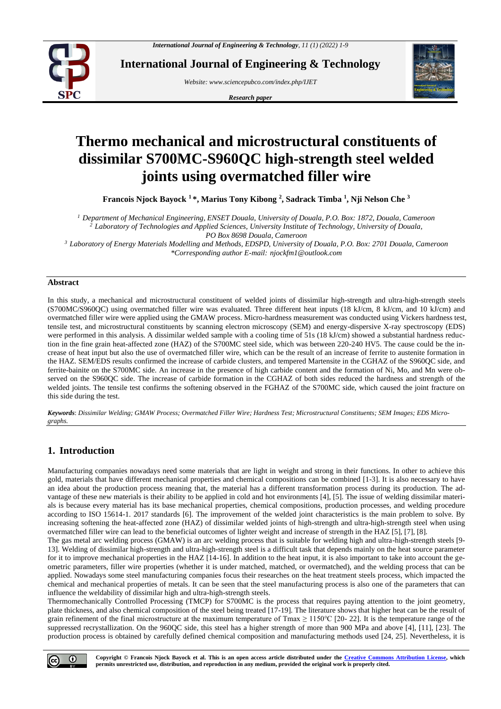

**International Journal of Engineering & Technology**

*Website: www.sciencepubco.com/index.php/IJET* 

*Research paper*



# **Thermo mechanical and microstructural constituents of dissimilar S700MC-S960QC high-strength steel welded joints using overmatched filler wire**

**Francois Njock Bayock <sup>1</sup> \*, Marius Tony Kibong <sup>2</sup> , Sadrack Timba <sup>1</sup> , Nji Nelson Che <sup>3</sup>**

*<sup>1</sup> Department of Mechanical Engineering, ENSET Douala, University of Douala, P.O. Box: 1872, Douala, Cameroon <sup>2</sup> Laboratory of Technologies and Applied Sciences, University Institute of Technology, University of Douala, PO Box 8698 Douala, Cameroon*

*<sup>3</sup> Laboratory of Energy Materials Modelling and Methods, EDSPD, University of Douala, P.O. Box: 2701 Douala, Cameroon \*Corresponding author E-mail: njockfm1@outlook.com*

#### **Abstract**

In this study, a mechanical and microstructural constituent of welded joints of dissimilar high-strength and ultra-high-strength steels (S700MC/S960QC) using overmatched filler wire was evaluated. Three different heat inputs (18 kJ/cm, 8 kJ/cm, and 10 kJ/cm) and overmatched filler wire were applied using the GMAW process. Micro-hardness measurement was conducted using Vickers hardness test, tensile test, and microstructural constituents by scanning electron microscopy (SEM) and energy-dispersive X-ray spectroscopy (EDS) were performed in this analysis. A dissimilar welded sample with a cooling time of 51s (18 kJ/cm) showed a substantial hardness reduction in the fine grain heat-affected zone (HAZ) of the S700MC steel side, which was between 220-240 HV5. The cause could be the increase of heat input but also the use of overmatched filler wire, which can be the result of an increase of ferrite to austenite formation in the HAZ. SEM/EDS results confirmed the increase of carbide clusters, and tempered Martensite in the CGHAZ of the S960QC side, and ferrite-bainite on the S700MC side. An increase in the presence of high carbide content and the formation of Ni, Mo, and Mn were observed on the S960QC side. The increase of carbide formation in the CGHAZ of both sides reduced the hardness and strength of the welded joints. The tensile test confirms the softening observed in the FGHAZ of the S700MC side, which caused the joint fracture on this side during the test.

*Keywords*: *Dissimilar Welding; GMAW Process; Overmatched Filler Wire; Hardness Test; Microstructural Constituents; SEM Images; EDS Micrographs.*

## **1. Introduction**

Manufacturing companies nowadays need some materials that are light in weight and strong in their functions. In other to achieve this gold, materials that have different mechanical properties and chemical compositions can be combined [1-3]. It is also necessary to have an idea about the production process meaning that, the material has a different transformation process during its production. The advantage of these new materials is their ability to be applied in cold and hot environments [4], [5]. The issue of welding dissimilar materials is because every material has its base mechanical properties, chemical compositions, production processes, and welding procedure according to ISO 15614-1. 2017 standards [6]. The improvement of the welded joint characteristics is the main problem to solve. By increasing softening the heat-affected zone (HAZ) of dissimilar welded joints of high-strength and ultra-high-strength steel when using overmatched filler wire can lead to the beneficial outcomes of lighter weight and increase of strength in the HAZ [5], [7], [8].

The gas metal arc welding process (GMAW) is an arc welding process that is suitable for welding high and ultra-high-strength steels [9- 13]. Welding of dissimilar high-strength and ultra-high-strength steel is a difficult task that depends mainly on the heat source parameter for it to improve mechanical properties in the HAZ [14-16]. In addition to the heat input, it is also important to take into account the geometric parameters, filler wire properties (whether it is under matched, matched, or overmatched), and the welding process that can be applied. Nowadays some steel manufacturing companies focus their researches on the heat treatment steels process, which impacted the chemical and mechanical properties of metals. It can be seen that the steel manufacturing process is also one of the parameters that can influence the weldability of dissimilar high and ultra-high-strength steels.

Thermomechanically Controlled Processing (TMCP) for S700MC is the process that requires paying attention to the joint geometry, plate thickness, and also chemical composition of the steel being treated [17-19]. The literature shows that higher heat can be the result of grain refinement of the final microstructure at the maximum temperature of Tmax  $\geq 1150^{\circ}\text{C}$  [20- 22]. It is the temperature range of the suppressed recrystallization. On the 960QC side, this steel has a higher strength of more than 900 MPa and above [4], [11], [23]. The production process is obtained by carefully defined chemical composition and manufacturing methods used [24, 25]. Nevertheless, it is

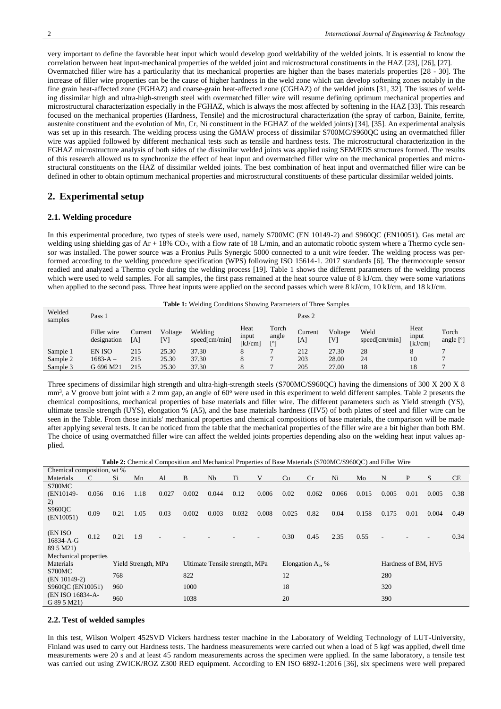very important to define the favorable heat input which would develop good weldability of the welded joints. It is essential to know the correlation between heat input-mechanical properties of the welded joint and microstructural constituents in the HAZ [23], [26], [27]. Overmatched filler wire has a particularity that its mechanical properties are higher than the bases materials properties [28 - 30]. The increase of filler wire properties can be the cause of higher hardness in the weld zone which can develop softening zones notably in the fine grain heat-affected zone (FGHAZ) and coarse-grain heat-affected zone (CGHAZ) of the welded joints [31, 32]. The issues of welding dissimilar high and ultra-high-strength steel with overmatched filler wire will resume defining optimum mechanical properties and microstructural characterization especially in the FGHAZ, which is always the most affected by softening in the HAZ [33]. This research focused on the mechanical properties (Hardness, Tensile) and the microstructural characterization (the spray of carbon, Bainite, ferrite, austenite constituent and the evolution of Mn, Cr, Ni constituent in the FGHAZ of the welded joints) [34], [35]. An experimental analysis was set up in this research. The welding process using the GMAW process of dissimilar S700MC/S960QC using an overmatched filler wire was applied followed by different mechanical tests such as tensile and hardness tests. The microstructural characterization in the FGHAZ microstructure analysis of both sides of the dissimilar welded joints was applied using SEM/EDS structures formed. The results of this research allowed us to synchronize the effect of heat input and overmatched filler wire on the mechanical properties and microstructural constituents on the HAZ of dissimilar welded joints. The best combination of heat input and overmatched filler wire can be defined in other to obtain optimum mechanical properties and microstructural constituents of these particular dissimilar welded joints.

## **2. Experimental setup**

#### **2.1. Welding procedure**

In this experimental procedure, two types of steels were used, namely S700MC (EN 10149-2) and S960QC (EN10051). Gas metal arc welding using shielding gas of  $Ar + 18\%$  CO<sub>2</sub>, with a flow rate of 18 L/min, and an automatic robotic system where a Thermo cycle sensor was installed. The power source was a Fronius Pulls Synergic 5000 connected to a unit wire feeder. The welding process was performed according to the welding procedure specification (WPS) following ISO 15614-1. 2017 standards [6]. The thermocouple sensor readied and analyzed a Thermo cycle during the welding process [19]. Table 1 shows the different parameters of the welding process which were used to weld samples. For all samples, the first pass remained at the heat source value of 8 kJ/cm. they were some variations when applied to the second pass. Three heat inputs were applied on the second passes which were 8 kJ/cm, 10 kJ/cm, and 18 kJ/cm.

| Welded<br>samples | Pass 1                     |                |                |                          |                          | Pass 2                                  |                |                                       |                       |                          |                    |
|-------------------|----------------------------|----------------|----------------|--------------------------|--------------------------|-----------------------------------------|----------------|---------------------------------------|-----------------------|--------------------------|--------------------|
|                   | Filler wire<br>designation | Current<br>[A] | Voltage<br>[V] | Welding<br>speed[cm/min] | Heat<br>input<br>[kJ/cm] | Torch<br>angle<br>$\lceil$ <sup>o</sup> | Current<br>[A] | Voltage<br>$\lceil \mathrm{V} \rceil$ | Weld<br>speed[cm/min] | Heat<br>input<br>[kJ/cm] | Torch<br>angle [°] |
| Sample 1          | EN ISO                     | 215            | 25.30          | 37.30                    | Ö                        |                                         | 212            | 27.30                                 | 28                    | $\circ$                  |                    |
| Sample 2          | $1683 - A -$               | 215            | 25.30          | 37.30                    |                          |                                         | 203            | 28.00                                 | 24                    | 10                       |                    |
| Sample 3          | G 696 M21                  | 215            | 25.30          | 37.30                    |                          |                                         | 205            | 27.00                                 | 18                    | 18                       |                    |

Three specimens of dissimilar high strength and ultra-high-strength steels (S700MC/S960QC) having the dimensions of 300 X 200 X 8 mm<sup>3</sup>, a V groove butt joint with a 2 mm gap, an angle of 60° were used in this experiment to weld different samples. Table 2 presents the chemical compositions, mechanical properties of base materials and filler wire. The different parameters such as Yield strength (YS), ultimate tensile strength (UYS), elongation % (A5), and the base materials hardness (HV5) of both plates of steel and filler wire can be seen in the Table. From those initials' mechanical properties and chemical compositions of base materials, the comparison will be made after applying several tests. It can be noticed from the table that the mechanical properties of the filler wire are a bit higher than both BM. The choice of using overmatched filler wire can affect the welded joints properties depending also on the welding heat input values applied.

**Table 2:** Chemical Composition and Mechanical Properties of Base Materials (S700MC/S960QC) and Filler Wire

| Chemical composition, wt % |       |      |                     |       |       |                                |       |       |       |                      |       |       |                     |      |       |      |
|----------------------------|-------|------|---------------------|-------|-------|--------------------------------|-------|-------|-------|----------------------|-------|-------|---------------------|------|-------|------|
| Materials                  | C     | Si   | Mn                  | Al    | B     | Nb                             | Ti    | V     | Cu    | Cr                   | Ni    | Mo    | N                   | P    | S     | CE   |
| S700MC                     |       |      |                     |       |       |                                |       |       |       |                      |       |       |                     |      |       |      |
| (EN10149-                  | 0.056 | 0.16 | 1.18                | 0.027 | 0.002 | 0.044                          | 0.12  | 0.006 | 0.02  | 0.062                | 0.066 | 0.015 | 0.005               | 0.01 | 0.005 | 0.38 |
| 2)                         |       |      |                     |       |       |                                |       |       |       |                      |       |       |                     |      |       |      |
| <b>S960QC</b>              | 0.09  | 0.21 | 1.05                | 0.03  | 0.002 | 0.003                          | 0.032 | 0.008 | 0.025 | 0.82                 | 0.04  | 0.158 | 0.175               | 0.01 | 0.004 | 0.49 |
| (EN10051)                  |       |      |                     |       |       |                                |       |       |       |                      |       |       |                     |      |       |      |
|                            |       |      |                     |       |       |                                |       |       |       |                      |       |       |                     |      |       |      |
| (EN ISO)<br>16834-A-G      | 0.12  | 0.21 | 1.9                 |       |       |                                |       |       | 0.30  | 0.45                 | 2.35  | 0.55  |                     |      |       | 0.34 |
| 89 5 M21)                  |       |      |                     |       |       |                                |       |       |       |                      |       |       |                     |      |       |      |
|                            |       |      |                     |       |       |                                |       |       |       |                      |       |       |                     |      |       |      |
| Mechanical properties      |       |      |                     |       |       |                                |       |       |       |                      |       |       |                     |      |       |      |
| Materials                  |       |      | Yield Strength, MPa |       |       | Ultimate Tensile strength, MPa |       |       |       | Elongation $A_5$ , % |       |       | Hardness of BM, HV5 |      |       |      |
| S700MC                     |       | 768  |                     |       | 822   |                                |       | 12    |       |                      |       | 280   |                     |      |       |      |
| $(EN 10149-2)$             |       |      |                     |       |       |                                |       |       |       |                      |       |       |                     |      |       |      |
| S960QC (EN10051)           |       | 960  |                     |       | 1000  |                                |       | 18    |       |                      | 320   |       |                     |      |       |      |
| (EN ISO 16834-A-           |       | 960  |                     |       | 1038  |                                |       | 20    |       |                      |       | 390   |                     |      |       |      |
| G 89 5 M21)                |       |      |                     |       |       |                                |       |       |       |                      |       |       |                     |      |       |      |

#### **2.2. Test of welded samples**

In this test, Wilson Wolpert 452SVD Vickers hardness tester machine in the Laboratory of Welding Technology of LUT-University, Finland was used to carry out Hardness tests. The hardness measurements were carried out when a load of 5 kgf was applied, dwell time measurements were 20 s and at least 45 random measurements across the specimen were applied. In the same laboratory, a tensile test was carried out using ZWICK/ROZ Z300 RED equipment. According to EN ISO 6892-1:2016 [36], six specimens were well prepared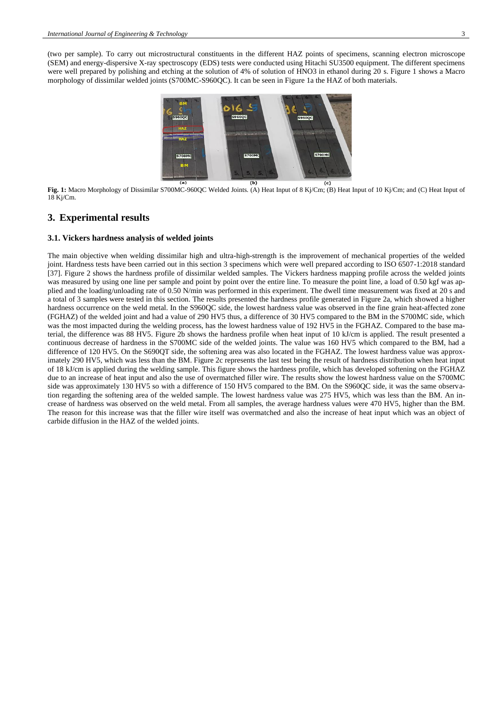(two per sample). To carry out microstructural constituents in the different HAZ points of specimens, scanning electron microscope (SEM) and energy-dispersive X-ray spectroscopy (EDS) tests were conducted using Hitachi SU3500 equipment. The different specimens were well prepared by polishing and etching at the solution of 4% of solution of HNO3 in ethanol during 20 s. Figure 1 shows a Macro morphology of dissimilar welded joints (S700MC-S960QC). It can be seen in Figure 1a the HAZ of both materials.



**Fig. 1:** Macro Morphology of Dissimilar S700MC-960QC Welded Joints. (A) Heat Input of 8 Kj/Cm; (B) Heat Input of 10 Kj/Cm; and (C) Heat Input of 10 Kj/Cm; and (C) Heat Input of 10 Kj/Cm; and (C) Heat Input of 10 Kj/Cm; an 18 Kj/Cm.

## **3. Experimental results**

#### **3.1. Vickers hardness analysis of welded joints**

The main objective when welding dissimilar high and ultra-high-strength is the improvement of mechanical properties of the welded joint. Hardness tests have been carried out in this section 3 specimens which were well prepared according to ISO 6507-1:2018 standard [37]. Figure 2 shows the hardness profile of dissimilar welded samples. The Vickers hardness mapping profile across the welded joints was measured by using one line per sample and point by point over the entire line. To measure the point line, a load of 0.50 kgf was applied and the loading/unloading rate of 0.50 N/min was performed in this experiment. The dwell time measurement was fixed at 20 s and a total of 3 samples were tested in this section. The results presented the hardness profile generated in Figure 2a, which showed a higher hardness occurrence on the weld metal. In the S960QC side, the lowest hardness value was observed in the fine grain heat-affected zone (FGHAZ) of the welded joint and had a value of 290 HV5 thus, a difference of 30 HV5 compared to the BM in the S700MC side, which was the most impacted during the welding process, has the lowest hardness value of 192 HV5 in the FGHAZ. Compared to the base material, the difference was 88 HV5. Figure 2b shows the hardness profile when heat input of 10 kJ/cm is applied. The result presented a continuous decrease of hardness in the S700MC side of the welded joints. The value was 160 HV5 which compared to the BM, had a difference of 120 HV5. On the S690QT side, the softening area was also located in the FGHAZ. The lowest hardness value was approximately 290 HV5, which was less than the BM. Figure 2c represents the last test being the result of hardness distribution when heat input of 18 kJ/cm is applied during the welding sample. This figure shows the hardness profile, which has developed softening on the FGHAZ due to an increase of heat input and also the use of overmatched filler wire. The results show the lowest hardness value on the S700MC side was approximately 130 HV5 so with a difference of 150 HV5 compared to the BM. On the S960QC side, it was the same observation regarding the softening area of the welded sample. The lowest hardness value was 275 HV5, which was less than the BM. An increase of hardness was observed on the weld metal. From all samples, the average hardness values were 470 HV5, higher than the BM. The reason for this increase was that the filler wire itself was overmatched and also the increase of heat input which was an object of carbide diffusion in the HAZ of the welded joints.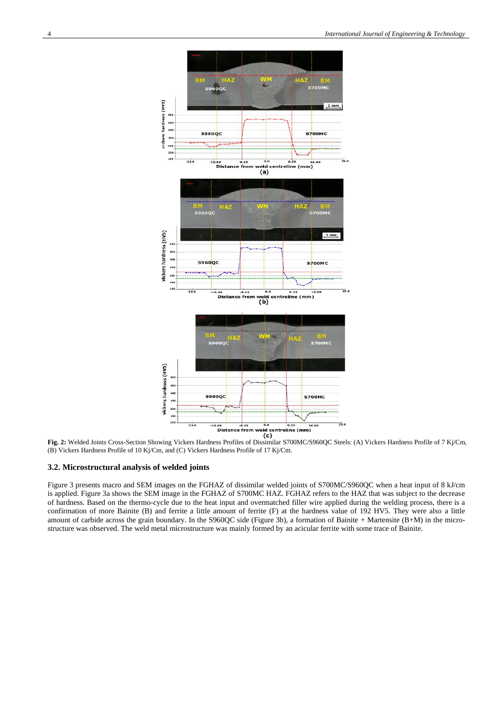

(B) Vickers Hardness Profile of 10 Kj/Cm, and (C) Vickers Hardness Profile of 17 Kj/Cm.

#### **3.2. Microstructural analysis of welded joints**

Figure 3 presents macro and SEM images on the FGHAZ of dissimilar welded joints of S700MC/S960QC when a heat input of 8 kJ/cm is applied. Figure 3a shows the SEM image in the FGHAZ of S700MC HAZ. FGHAZ refers to the HAZ that was subject to the decrease of hardness. Based on the thermo-cycle due to the heat input and overmatched filler wire applied during the welding process, there is a confirmation of more Bainite (B) and ferrite a little amount of ferrite (F) at the hardness value of 192 HV5. They were also a little amount of carbide across the grain boundary. In the S960QC side (Figure 3b), a formation of Bainite + Martensite  $(B+M)$  in the microstructure was observed. The weld metal microstructure was mainly formed by an acicular ferrite with some trace of Bainite.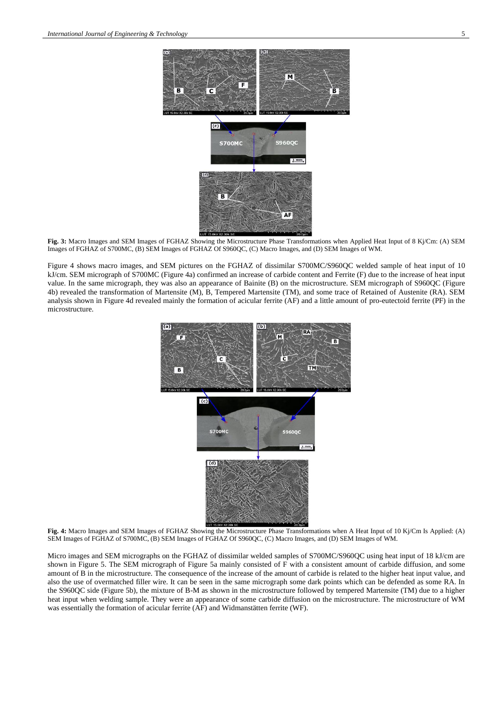

**Fig. 3:** Macro Images and SEM Images of FGHAZ Showing the Microstructure Phase Transformations when Applied Heat Input of 8 Kj/Cm: (A) SEM Images of FGHAZ of S700MC, (B) SEM Images of FGHAZ Of S960QC, (C) Macro Images, and (D) SEM Images of WM.

Figure 4 shows macro images, and SEM pictures on the FGHAZ of dissimilar S700MC/S960QC welded sample of heat input of 10 kJ/cm. SEM micrograph of S700MC (Figure 4a) confirmed an increase of carbide content and Ferrite (F) due to the increase of heat input value. In the same micrograph, they was also an appearance of Bainite (B) on the microstructure. SEM micrograph of S960QC (Figure 4b) revealed the transformation of Martensite (M), B, Tempered Martensite (TM), and some trace of Retained of Austenite (RA). SEM analysis shown in Figure 4d revealed mainly the formation of acicular ferrite (AF) and a little amount of pro-eutectoid ferrite (PF) in the microstructure.



**Fig. 4:** Macro Images and SEM Images of FGHAZ Showing the Microstructure Phase Transformations when A Heat Input of 10 Kj/Cm Is Applied: (A) SEM Images of FGHAZ of S700MC, (B) SEM Images of FGHAZ Of S960QC, (C) Macro Images, and (D) SEM Images of WM.

Micro images and SEM micrographs on the FGHAZ of dissimilar welded samples of S700MC/S960QC using heat input of 18 kJ/cm are shown in Figure 5. The SEM micrograph of Figure 5a mainly consisted of F with a consistent amount of carbide diffusion, and some amount of B in the microstructure. The consequence of the increase of the amount of carbide is related to the higher heat input value, and also the use of overmatched filler wire. It can be seen in the same micrograph some dark points which can be defended as some RA. In the S960QC side (Figure 5b), the mixture of B-M as shown in the microstructure followed by tempered Martensite (TM) due to a higher heat input when welding sample. They were an appearance of some carbide diffusion on the microstructure. The microstructure of WM was essentially the formation of acicular ferrite (AF) and Widmanstätten ferrite (WF).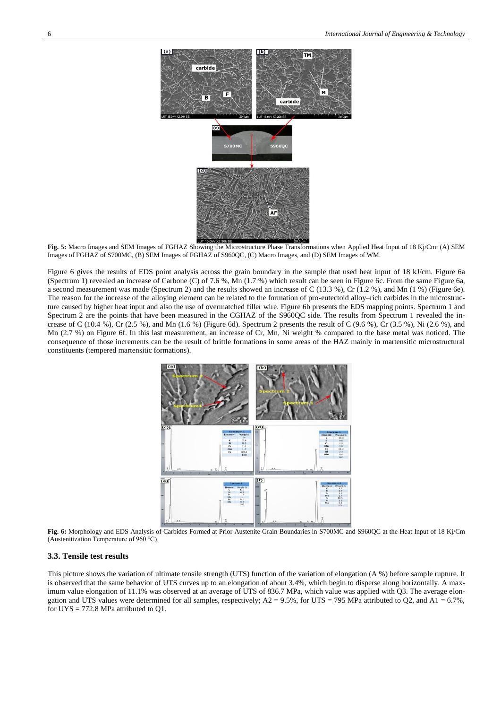

**Fig. 5:** Macro Images and SEM Images of FGHAZ Showing the Microstructure Phase Transformations when Applied Heat Input of 18 Kj/Cm: (A) SEM Images of FGHAZ of S700MC, (B) SEM Images of FGHAZ of S960QC, (C) Macro Images, and (D) SEM Images of WM.

Figure 6 gives the results of EDS point analysis across the grain boundary in the sample that used heat input of 18 kJ/cm. Figure 6a (Spectrum 1) revealed an increase of Carbone (C) of 7.6 %, Mn (1.7 %) which result can be seen in Figure 6c. From the same Figure 6a, a second measurement was made (Spectrum 2) and the results showed an increase of C (13.3 %), Cr (1.2 %), and Mn (1 %) (Figure 6e). The reason for the increase of the alloying element can be related to the formation of pro-eutectoid alloy–rich carbides in the microstructure caused by higher heat input and also the use of overmatched filler wire. Figure 6b presents the EDS mapping points. Spectrum 1 and Spectrum 2 are the points that have been measured in the CGHAZ of the S960QC side. The results from Spectrum 1 revealed the increase of C (10.4 %), Cr (2.5 %), and Mn (1.6 %) (Figure 6d). Spectrum 2 presents the result of C (9.6 %), Cr (3.5 %), Ni (2.6 %), and Mn (2.7 %) on Figure 6f. In this last measurement, an increase of Cr, Mn, Ni weight % compared to the base metal was noticed. The consequence of those increments can be the result of brittle formations in some areas of the HAZ mainly in martensitic microstructural constituents (tempered martensitic formations).



**Fig. 6:** Morphology and EDS Analysis of Carbides Formed at Prior Austenite Grain Boundaries in S700MC and S960QC at the Heat Input of 18 Kj/Cm (Austenitization Temperature of 960 ℃).

#### **3.3. Tensile test results**

This picture shows the variation of ultimate tensile strength (UTS) function of the variation of elongation (A %) before sample rupture. It is observed that the same behavior of UTS curves up to an elongation of about 3.4%, which begin to disperse along horizontally. A maximum value elongation of 11.1% was observed at an average of UTS of 836.7 MPa, which value was applied with Q3. The average elongation and UTS values were determined for all samples, respectively;  $A2 = 9.5\%$ , for UTS = 795 MPa attributed to Q2, and  $A1 = 6.7\%$ , for UYS = 772.8 MPa attributed to Q1.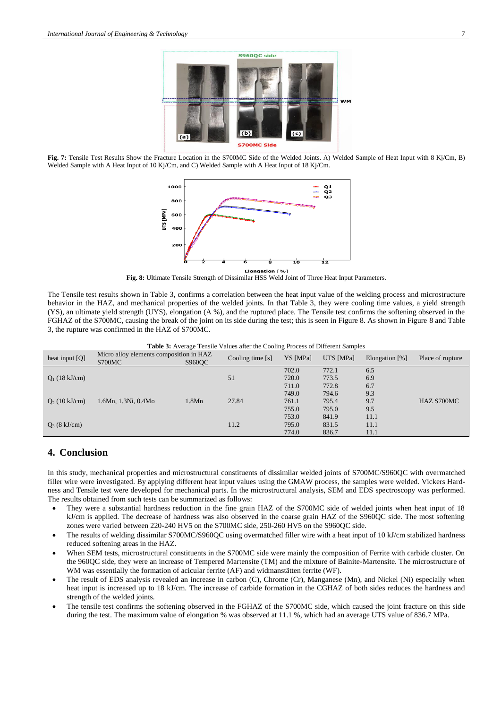

**Fig. 7:** Tensile Test Results Show the Fracture Location in the S700MC Side of the Welded Joints. A) Welded Sample of Heat Input with 8 Kj/Cm, B) Welded Sample with A Heat Input of 10 Kj/Cm, and C) Welded Sample with A Heat Input of 18 Kj/Cm.



**Fig. 8:** Ultimate Tensile Strength of Dissimilar HSS Weld Joint of Three Heat Input Parameters.

The Tensile test results shown in Table 3, confirms a correlation between the heat input value of the welding process and microstructure behavior in the HAZ, and mechanical properties of the welded joints. In that Table 3, they were cooling time values, a yield strength (YS), an ultimate yield strength (UYS), elongation (A %), and the ruptured place. The Tensile test confirms the softening observed in the FGHAZ of the S700MC, causing the break of the joint on its side during the test; this is seen in Figure 8. As shown in Figure 8 and Table 3, the rupture was confirmed in the HAZ of S700MC.

| <b>Table 3:</b> Average Tensile Values after the Cooling Process of Different Samples |  |
|---------------------------------------------------------------------------------------|--|
|---------------------------------------------------------------------------------------|--|

| heat input $[Q]$        | Micro alloy elements composition in HAZ<br>S700MC | <b>S960OC</b> | Cooling time $[s]$ | YS [MPa] | UTS [MPa] | Elongation [%] | Place of rupture |
|-------------------------|---------------------------------------------------|---------------|--------------------|----------|-----------|----------------|------------------|
|                         |                                                   |               |                    | 702.0    | 772.1     | 6.5            |                  |
| $Q_1$ (18 kJ/cm)        |                                                   |               | 51                 | 720.0    | 773.5     | 6.9            |                  |
|                         |                                                   |               |                    | 711.0    | 772.8     | 6.7            |                  |
| $Q_2(10 \text{ kJ/cm})$ | 1.6Mn, 1.3Ni, 0.4Mo                               |               | 27.84              | 749.0    | 794.6     | 9.3            |                  |
|                         |                                                   | 1.8Mn         |                    | 761.1    | 795.4     | 9.7            | HAZ S700MC       |
|                         |                                                   |               |                    | 755.0    | 795.0     | 9.5            |                  |
|                         |                                                   |               |                    | 753.0    | 841.9     | 11.1           |                  |
| $Q_3$ (8 kJ/cm)         |                                                   |               | 11.2               | 795.0    | 831.5     | 11.1           |                  |
|                         |                                                   |               |                    | 774.0    | 836.7     | 11.1           |                  |

## **4. Conclusion**

In this study, mechanical properties and microstructural constituents of dissimilar welded joints of S700MC/S960QC with overmatched filler wire were investigated. By applying different heat input values using the GMAW process, the samples were welded. Vickers Hardness and Tensile test were developed for mechanical parts. In the microstructural analysis, SEM and EDS spectroscopy was performed. The results obtained from such tests can be summarized as follows:

- They were a substantial hardness reduction in the fine grain HAZ of the S700MC side of welded joints when heat input of 18 kJ/cm is applied. The decrease of hardness was also observed in the coarse grain HAZ of the S960QC side. The most softening zones were varied between 220-240 HV5 on the S700MC side, 250-260 HV5 on the S960QC side.
- The results of welding dissimilar S700MC/S960QC using overmatched filler wire with a heat input of 10 kJ/cm stabilized hardness reduced softening areas in the HAZ.
- When SEM tests, microstructural constituents in the S700MC side were mainly the composition of Ferrite with carbide cluster. On the 960QC side, they were an increase of Tempered Martensite (TM) and the mixture of Bainite-Martensite. The microstructure of WM was essentially the formation of acicular ferrite (AF) and widmanstätten ferrite (WF).
- The result of EDS analysis revealed an increase in carbon (C), Chrome (Cr), Manganese (Mn), and Nickel (Ni) especially when heat input is increased up to 18 kJ/cm. The increase of carbide formation in the CGHAZ of both sides reduces the hardness and strength of the welded joints.
- The tensile test confirms the softening observed in the FGHAZ of the S700MC side, which caused the joint fracture on this side during the test. The maximum value of elongation % was observed at 11.1 %, which had an average UTS value of 836.7 MPa.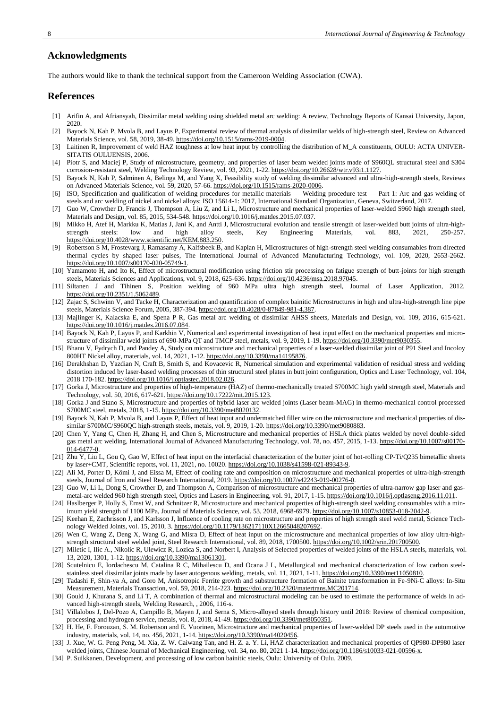## **Acknowledgments**

The authors would like to thank the technical support from the Cameroon Welding Association (CWA).

### **References**

- [1] Arifin A, and Afriansyah, Dissimilar metal welding using shielded metal arc welding: A review, Technology Reports of Kansai University, Japon, 2020.
- [2] Bayock N, Kah P, Mvola B, and Layus P, Experimental review of thermal analysis of dissimilar welds of high-strength steel, Review on Advanced Materials Science, vol. 58, 2019, 38-49[. https://doi.org/10.1515/rams-2019-0004.](https://doi.org/10.1515/rams-2019-0004)
- [3] Laitinen R, Improvement of weld HAZ toughness at low heat input by controlling the distribution of M\_A constituents, OULU: ACTA UNIVER-SITATIS OULUENSIS, 2006.
- [4] Piotr S, and Maciej P, Study of microstructure, geometry, and properties of laser beam welded joints made of S960QL structural steel and S304 corrosion-resistant steel, Welding Technology Review, vol. 93, 2021, 1-22[. https://doi.org/10.26628/wtr.v93i1.1127.](https://doi.org/10.26628/wtr.v93i1.1127)
- [5] Bayock N, Kah P, Salminen A, Belinga M, and Yang X, Feasibility study of welding dissimilar advanced and ultra-high-strength steels, Reviews on Advanced Materials Science, vol. 59, 2020, 57-66. [https://doi.org/10.1515/rams-2020-0006.](https://doi.org/10.1515/rams-2020-0006)
- [6] ISO, Specification and qualification of welding procedures for metallic materials Welding procedure test Part 1: Arc and gas welding of steels and arc welding of nickel and nickel alloys; ISO 15614-1: 2017, International Standard Organization, Geneva, Switzerland, 2017.
- [7] Guo W, Crowther D, Francis J, Thompson A, Liu Z, and Li L, Microstructure and mechanical properties of laser-welded S960 high strength steel, Materials and Design, vol. 85, 2015, 534-548[. https://doi.org/10.1016/j.matdes.2015.07.037.](https://doi.org/10.1016/j.matdes.2015.07.037)
- [8] Mikko H, Atef H, Markku K, Matias J, Jani K, and Antti J, Microstructural evolution and tensile strength of laser-welded butt joints of ultra-highstrength steels: low and high alloy steels, Key Engineering Materials, vol. 883, 2021, 250-257. [https://doi.org/10.4028/www.scientific.net/KEM.883.250.](https://doi.org/10.4028/www.scientific.net/KEM.883.250)
- [9] Robertson S M, Frostevarg J, Ramasamy A, Kalfsbeek B, and Kaplan H, Microstructures of high-strength steel welding consumables from directed thermal cycles by shaped laser pulses, The International Journal of Advanced Manufacturing Technology, vol. 109, 2020, 2653-2662. [https://doi.org/10.1007/s00170-020-05749-1.](https://doi.org/10.1007/s00170-020-05749-1)
- [10] Yamamoto H, and Ito K, Effect of microstructural modification using friction stir processing on fatigue strength of butt-joints for high strength steels, Materials Sciences and Applications, vol. 9, 2018, 625-636[. https://doi.org/10.4236/msa.2018.97045.](https://doi.org/10.4236/msa.2018.97045)
- [11] Siltanen J and Tihinen S, Position welding of 960 MPa ultra high strength steel, Journal of Laser Application, 2012. [https://doi.org/10.2351/1.5062489.](https://doi.org/10.2351/1.5062489)
- [12] Zajac S, Schwinn V, and Tacke H, Characterization and quantification of complex bainitic Microstructures in high and ultra-high-strength line pipe steels, Materials Science Forum, 2005, 387-394[. https://doi.org/10.4028/0-87849-981-4.387.](https://doi.org/10.4028/0-87849-981-4.387)
- [13] Majlinger K, Kalacska E, and Spena P R, Gas metal arc welding of dissimilar AHSS sheets, Materials and Design, vol. 109, 2016, 615-621. [https://doi.org/10.1016/j.matdes.2016.07.084.](https://doi.org/10.1016/j.matdes.2016.07.084)
- [14] Bayock N, Kah P, Layus P, and Karkhin V, Numerical and experimental investigation of heat input effect on the mechanical properties and microstructure of dissimilar weld joints of 690-MPa QT and TMCP steel, metals, vol. 9, 2019, 1-19. https://doi.org/10.3390/met903035
- [15] Bhanu V, Fydrych D, and Pandey A, Study on microstructure and mechanical properties of a laser-welded dissimilar joint of P91 Steel and Incoloy 800HT Nickel alloy, materials, vol. 14, 2021, 1-12[. https://doi.org/10.3390/ma14195876.](https://doi.org/10.3390/ma14195876)
- [16] Derakhshan D, Yazdian N, Craft B, Smith S, and Kovacevic R, Numerical simulation and experimental validation of residual stress and welding distortion induced by laser-based welding processes of thin structural steel plates in butt joint configuration, Optics and Laser Technology, vol. 104, 2018 170-182[. https://doi.org/10.1016/j.optlastec.2018.02.026.](https://doi.org/10.1016/j.optlastec.2018.02.026)
- [17] Gorka J, Microstructure and properties of high-temperature (HAZ) of thermo-mechanically treated S700MC high yield strength steel, Materials and Technology, vol. 50, 2016, 617-621[. https://doi.org/10.17222/mit.2015.123.](https://doi.org/10.17222/mit.2015.123)
- [18] Gorka J and Stano S, Microstructure and properties of hybrid laser arc welded joints (Laser beam-MAG) in thermo-mechanical control processed S700MC steel, metals, 2018, 1-15[. https://doi.org/10.3390/met8020132.](https://doi.org/10.3390/met8020132)
- [19] Bayock N, Kah P, Mvola B, and Layus P, Effect of heat input and undermatched filler wire on the microstructure and mechanical properties of dissimilar S700MC/S960QC high-strength steels, metals, vol. 9, 2019, 1-20[. https://doi.org/10.3390/met9080883.](https://doi.org/10.3390/met9080883)
- [20] Chen Y, Yang C, Chen H, Zhang H, and Chen S, Microstructure and mechanical properties of HSLA thick plates welded by novel double-sided gas metal arc welding, International Journal of Advanced Manufacturing Technology, vol. 78, no. 457, 2015, 1-13[. https://doi.org/10.1007/s00170-](https://doi.org/10.1007/s00170-014-6477-0) [014-6477-0.](https://doi.org/10.1007/s00170-014-6477-0)
- [21] Zhu Y, Liu L, Gou Q, Gao W, Effect of heat input on the interfacial characterization of the butter joint of hot-rolling CP-Ti/Q235 bimetallic sheets by laser+CMT, Scientific reports, vol. 11, 2021, no. 10020. [https://doi.org/10.1038/s41598-021-89343-9.](https://doi.org/10.1038/s41598-021-89343-9)
- [22] Ali M, Porter D, Kömi J, and Eissa M, Effect of cooling rate and composition on microstructure and mechanical properties of ultra-high-strength steels, Journal of Iron and Steel Research International, 2019[. https://doi.org/10.1007/s42243-019-00276-0.](https://doi.org/10.1007/s42243-019-00276-0)
- [23] Guo W, Li L, Dong S, Crowther D, and Thompson A, Comparison of microstructure and mechanical properties of ultra-narrow gap laser and gasmetal-arc welded 960 high strength steel, Optics and Lasers in Engineering, vol. 91, 2017, 1-15. https://doi.org/10.1016/j.optlaseng.2016.11.011
- [24] Haslberger P, Holly S, Ernst W, and Schnitzer R, Microstructure and mechanical properties of high-strength steel welding consumables with a minimum yield strength of 1100 MPa, Journal of Materials Science, vol. 53, 2018, 6968-6979. [https://doi.org/10.1007/s10853-018-2042-9.](https://doi.org/10.1007/s10853-018-2042-9)
- [25] Keehan E, Zachrisson J, and Karlsson J, Influence of cooling rate on microstructure and properties of high strength steel weld metal, Science Technology Welded Joints, vol. 15, 2010, 3[. https://doi.org/10.1179/136217110X12665048207692.](https://doi.org/10.1179/136217110X12665048207692)
- [26] Wen C, Wang Z, Deng X, Wang G, and Misra D, Effect of heat input on the microstructure and mechanical properties of low alloy ultra-highstrength structural steel welded joint, Steel Research International, vol. 89, 2018, 1700500. https://doi.org/10.1002/srin.201700500
- [27] Miletic I, Ilic A., Nikolic R, Ulewicz R, Lozica S, and Norbert I, Analysis of Selected properties of welded joints of the HSLA steels, materials, vol. 13, 2020, 1301, 1-12[. https://doi.org/10.3390/ma13061301.](https://doi.org/10.3390/ma13061301)
- [28] Scutelnicu E, Iordachescu M, Catalina R C, Mihailescu D, and Ocana J L, Metallurgical and mechanical characterization of low carbon steelstainless steel dissimilar joints made by laser autogenous welding, metals, vol. 11, 2021, 1-11. https://doi.org/10.3390/met11050810
- [29] Tadashi F, Shin-ya A, and Goro M, Anisotropic Ferrite growth and substructure formation of Bainite transformation in Fe-9Ni-C alloys: In-Situ Measurement, Materials Transaction, vol. 59, 2018, 214-223. [https://doi.org/10.2320/matertrans.MC201714.](https://doi.org/10.2320/matertrans.MC201714)
- [30] Gould J, Khurana S, and Li T, A combination of thermal and microstructural modeling can be used to estimate the performance of welds in advanced high-strength steels, Welding Research, , 2006, 116-s.
- [31] Villalobos J, Del-Pozo A, Campillo B, Mayen J, and Serna S, Micro-alloyed steels through history until 2018: Review of chemical composition, processing and hydrogen service, metals, vol. 8, 2018, 41-49. https://doi.org/10.3390/met8050351
- [32] H. He, F. Forouzan, S. M. Robertson and E. Vuorinen, Microstructure and mechanical properties of laser-welded DP steels used in the automotive industry, materials, vol. 14, no. 456, 2021, 1-14. [https://doi.org/10.3390/ma14020456.](https://doi.org/10.3390/ma14020456)
- [33] J. Xue, W. G. Peng Peng, M. Xia, Z. W. Caiwang Tan, and H. Z. a. Y. Li, HAZ characterization and mechanical properties of QP980-DP980 laser welded joints, Chinese Journal of Mechanical Engineering, vol. 34, no. 80, 2021 1-14. [https://doi.org/10.1186/s10033-021-00596-x.](https://doi.org/10.1186/s10033-021-00596-x)
- [34] P. Suikkanen, Development, and processing of low carbon bainitic steels, Oulu: University of Oulu, 2009.